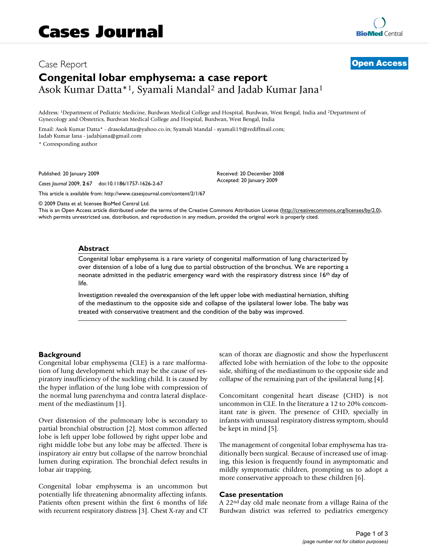# Case Report **[Open Access](http://www.biomedcentral.com/info/about/charter/) Congenital lobar emphysema: a case report** Asok Kumar Datta\*1, Syamali Mandal2 and Jadab Kumar Jana1

Address: 1Department of Pediatric Medicine, Burdwan Medical College and Hospital, Burdwan, West Bengal, India and 2Department of Gynecology and Obstetrics, Burdwan Medical College and Hospital, Burdwan, West Bengal, India

Email: Asok Kumar Datta\* - drasokdatta@yahoo.co.in; Syamali Mandal - syamali19@rediffmail.com; Jadab Kumar Jana - jadabjana@gmail.com

\* Corresponding author

Published: 20 January 2009

*Cases Journal* 2009, **2**:67 doi:10.1186/1757-1626-2-67

[This article is available from: http://www.casesjournal.com/content/2/1/67](http://www.casesjournal.com/content/2/1/67)

© 2009 Datta et al; licensee BioMed Central Ltd.

This is an Open Access article distributed under the terms of the Creative Commons Attribution License [\(http://creativecommons.org/licenses/by/2.0\)](http://creativecommons.org/licenses/by/2.0), which permits unrestricted use, distribution, and reproduction in any medium, provided the original work is properly cited.

Received: 20 December 2008 Accepted: 20 January 2009

#### **Abstract**

Congenital lobar emphysema is a rare variety of congenital malformation of lung characterized by over distension of a lobe of a lung due to partial obstruction of the bronchus. We are reporting a neonate admitted in the pediatric emergency ward with the respiratory distress since 16th day of life.

Investigation revealed the overexpansion of the left upper lobe with mediastinal herniation, shifting of the mediastinum to the opposite side and collapse of the ipsilateral lower lobe. The baby was treated with conservative treatment and the condition of the baby was improved.

## **Background**

Congenital lobar emphysema (CLE) is a rare malformation of lung development which may be the cause of respiratory insufficiency of the suckling child. It is caused by the hyper inflation of the lung lobe with compression of the normal lung parenchyma and contra lateral displacement of the mediastinum [1].

Over distension of the pulmonary lobe is secondary to partial bronchial obstruction [2]. Most common affected lobe is left upper lobe followed by right upper lobe and right middle lobe but any lobe may be affected. There is inspiratory air entry but collapse of the narrow bronchial lumen during expiration. The bronchial defect results in lobar air trapping.

Congenital lobar emphysema is an uncommon but potentially life threatening abnormality affecting infants. Patients often present within the first 6 months of life with recurrent respiratory distress [3]. Chest X-ray and CT scan of thorax are diagnostic and show the hyperluscent affected lobe with herniation of the lobe to the opposite side, shifting of the mediastinum to the opposite side and collapse of the remaining part of the ipsilateral lung [4].

Concomitant congenital heart disease (CHD) is not uncommon in CLE. In the literature a 12 to 20% concomitant rate is given. The presence of CHD, specially in infants with unusual respiratory distress symptom, should be kept in mind [5].

The management of congenital lobar emphysema has traditionally been surgical. Because of increased use of imaging, this lesion is frequently found in asymptomatic and mildly symptomatic children, prompting us to adopt a more conservative approach to these children [6].

#### **Case presentation**

A 22nd day old male neonate from a village Raina of the Burdwan district was referred to pediatrics emergency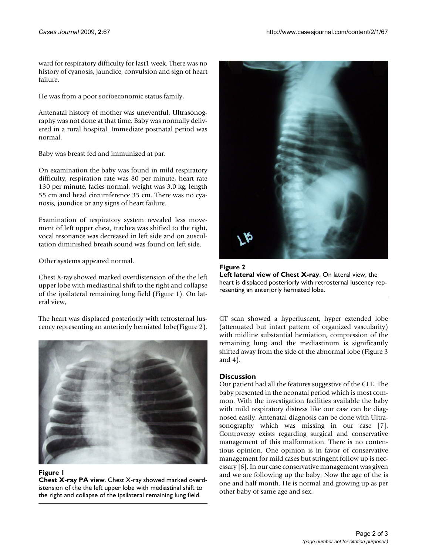ward for respiratory difficulty for last1 week. There was no history of cyanosis, jaundice, convulsion and sign of heart failure.

He was from a poor socioeconomic status family,

Antenatal history of mother was uneventful, Ultrasonography was not done at that time. Baby was normally delivered in a rural hospital. Immediate postnatal period was normal.

Baby was breast fed and immunized at par.

On examination the baby was found in mild respiratory difficulty, respiration rate was 80 per minute, heart rate 130 per minute, facies normal, weight was 3.0 kg, length 55 cm and head circumference 35 cm. There was no cyanosis, jaundice or any signs of heart failure.

Examination of respiratory system revealed less movement of left upper chest, trachea was shifted to the right, vocal resonance was decreased in left side and on auscultation diminished breath sound was found on left side.

Other systems appeared normal.

Chest X-ray showed marked overdistension of the the left upper lobe with mediastinal shift to the right and collapse of the ipsilateral remaining lung field (Figure 1). On lateral view,

The heart was displaced posteriorly with retrosternal luscency representing an anteriorly herniated lobe(Figure 2).



#### **Figure 1**

**Chest X-ray PA view**. Chest X-ray showed marked overdistension of the the left upper lobe with mediastinal shift to the right and collapse of the ipsilateral remaining lung field.



**Figure 2 Left lateral view of Chest X-ray**. On lateral view, the heart is displaced posteriorly with retrosternal luscency representing an anteriorly herniated lobe.

CT scan showed a hyperluscent, hyper extended lobe (attenuated but intact pattern of organized vascularity) with midline substantial herniation, compression of the remaining lung and the mediastinum is significantly shifted away from the side of the abnormal lobe (Figure 3 and 4).

# **Discussion**

Our patient had all the features suggestive of the CLE. The baby presented in the neonatal period which is most common. With the investigation facilities available the baby with mild respiratory distress like our case can be diagnosed easily. Antenatal diagnosis can be done with Ultrasonography which was missing in our case [7]. Controversy exists regarding surgical and conservative management of this malformation. There is no contentious opinion. One opinion is in favor of conservative management for mild cases but stringent follow up is necessary [6]. In our case conservative management was given and we are following up the baby. Now the age of the is one and half month. He is normal and growing up as per other baby of same age and sex.